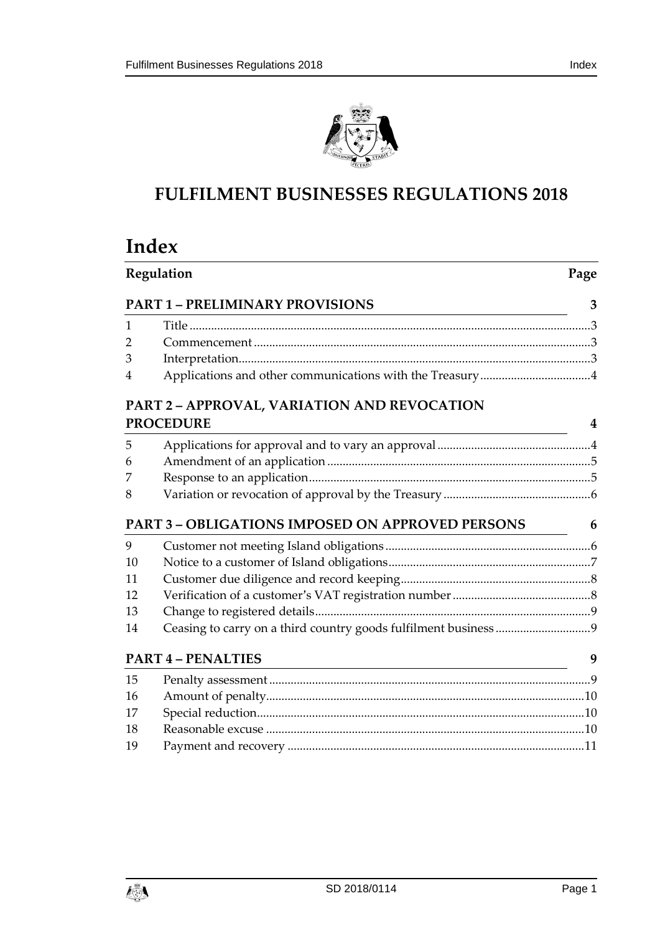

# **FULFILMENT BUSINESSES REGULATIONS 2018**

# **Index**

| Regulation<br><b>PART 1 - PRELIMINARY PROVISIONS</b> |                                                         | Page |
|------------------------------------------------------|---------------------------------------------------------|------|
|                                                      |                                                         | 3    |
| 1                                                    |                                                         |      |
| $\overline{2}$                                       |                                                         |      |
| 3                                                    |                                                         |      |
| 4                                                    |                                                         |      |
|                                                      | <b>PART 2 - APPROVAL, VARIATION AND REVOCATION</b>      |      |
| <b>PROCEDURE</b>                                     |                                                         | 4    |
| 5                                                    |                                                         |      |
| 6                                                    |                                                         |      |
| 7                                                    |                                                         |      |
| 8                                                    |                                                         |      |
|                                                      | <b>PART 3 - OBLIGATIONS IMPOSED ON APPROVED PERSONS</b> | 6    |
| 9                                                    |                                                         |      |
| 10                                                   |                                                         |      |
| 11                                                   |                                                         |      |
| 12                                                   |                                                         |      |
| 13                                                   |                                                         |      |
| 14                                                   |                                                         |      |
|                                                      | <b>PART 4 - PENALTIES</b>                               | 9    |
| 15                                                   |                                                         |      |
| 16                                                   |                                                         |      |
| 17                                                   |                                                         |      |
| 18                                                   |                                                         |      |
| 19                                                   |                                                         |      |

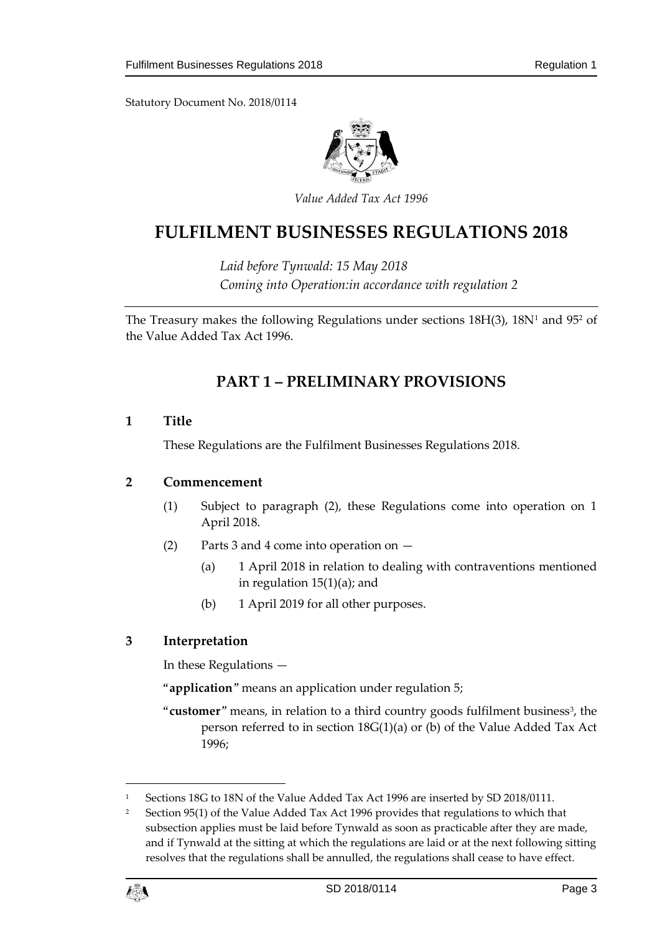Statutory Document No. 2018/0114



*Value Added Tax Act 1996*

# **FULFILMENT BUSINESSES REGULATIONS 2018**

*Laid before Tynwald: 15 May 2018 Coming into Operation:in accordance with regulation 2*

<span id="page-2-0"></span>The Treasury makes the following Regulations under sections 18H(3), 18N<sup>1</sup> and 95<sup>2</sup> of the Value Added Tax Act 1996.

## **PART 1 – PRELIMINARY PROVISIONS**

#### <span id="page-2-1"></span>**1 Title**

These Regulations are the Fulfilment Businesses Regulations 2018.

#### <span id="page-2-2"></span>**2 Commencement**

- (1) Subject to paragraph (2), these Regulations come into operation on 1 April 2018.
- (2) Parts 3 and 4 come into operation on
	- (a) 1 April 2018 in relation to dealing with contraventions mentioned in regulation 15(1)(a); and
	- (b) 1 April 2019 for all other purposes.

#### <span id="page-2-3"></span>**3 Interpretation**

In these Regulations —

"**application**" means an application under regulation 5;

"customer" means, in relation to a third country goods fulfilment business<sup>3</sup>, the person referred to in section 18G(1)(a) or (b) of the Value Added Tax Act 1996;

<sup>&</sup>lt;sup>2</sup> Section 95(1) of the Value Added Tax Act 1996 provides that regulations to which that subsection applies must be laid before Tynwald as soon as practicable after they are made, and if Tynwald at the sitting at which the regulations are laid or at the next following sitting resolves that the regulations shall be annulled, the regulations shall cease to have effect.



<sup>1</sup> Sections 18G to 18N of the Value Added Tax Act 1996 are inserted by SD 2018/0111.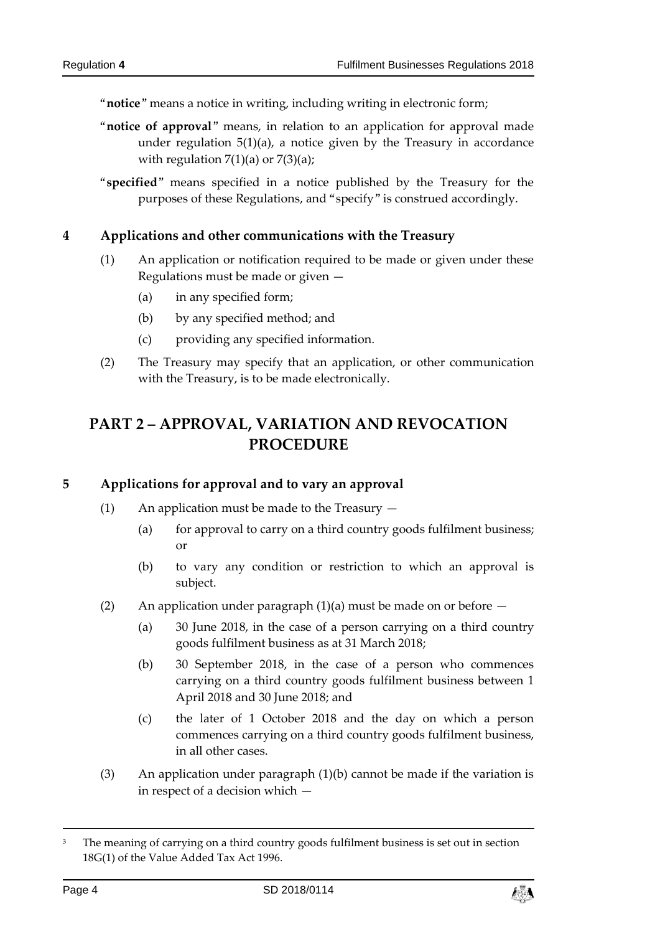"**notice**" means a notice in writing, including writing in electronic form;

- "**notice of approval**" means, in relation to an application for approval made under regulation  $5(1)(a)$ , a notice given by the Treasury in accordance with regulation  $7(1)(a)$  or  $7(3)(a)$ ;
- "**specified**" means specified in a notice published by the Treasury for the purposes of these Regulations, and "specify" is construed accordingly.

#### <span id="page-3-0"></span>**4 Applications and other communications with the Treasury**

- (1) An application or notification required to be made or given under these Regulations must be made or given —
	- (a) in any specified form;
	- (b) by any specified method; and
	- (c) providing any specified information.
- (2) The Treasury may specify that an application, or other communication with the Treasury, is to be made electronically.

## <span id="page-3-1"></span>**PART 2 – APPROVAL, VARIATION AND REVOCATION PROCEDURE**

#### <span id="page-3-2"></span>**5 Applications for approval and to vary an approval**

- (1) An application must be made to the Treasury
	- (a) for approval to carry on a third country goods fulfilment business; or
	- (b) to vary any condition or restriction to which an approval is subject.
- (2) An application under paragraph  $(1)(a)$  must be made on or before  $-$ 
	- (a) 30 June 2018, in the case of a person carrying on a third country goods fulfilment business as at 31 March 2018;
	- (b) 30 September 2018, in the case of a person who commences carrying on a third country goods fulfilment business between 1 April 2018 and 30 June 2018; and
	- (c) the later of 1 October 2018 and the day on which a person commences carrying on a third country goods fulfilment business, in all other cases.
- (3) An application under paragraph (1)(b) cannot be made if the variation is in respect of a decision which —



<sup>3</sup> The meaning of carrying on a third country goods fulfilment business is set out in section 18G(1) of the Value Added Tax Act 1996.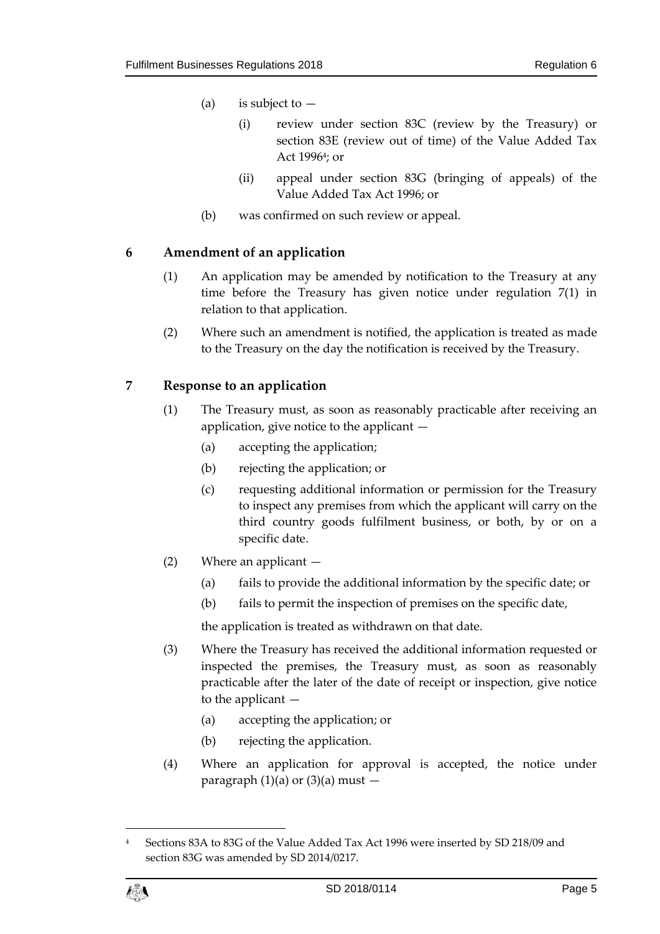- (a) is subject to  $-$ 
	- (i) review under section 83C (review by the Treasury) or section 83E (review out of time) of the Value Added Tax Act 1996<sup>4</sup> ; or
	- (ii) appeal under section 83G (bringing of appeals) of the Value Added Tax Act 1996; or
- (b) was confirmed on such review or appeal.

#### <span id="page-4-0"></span>**6 Amendment of an application**

- (1) An application may be amended by notification to the Treasury at any time before the Treasury has given notice under regulation 7(1) in relation to that application.
- (2) Where such an amendment is notified, the application is treated as made to the Treasury on the day the notification is received by the Treasury.

#### <span id="page-4-1"></span>**7 Response to an application**

- (1) The Treasury must, as soon as reasonably practicable after receiving an application, give notice to the applicant —
	- (a) accepting the application;
	- (b) rejecting the application; or
	- (c) requesting additional information or permission for the Treasury to inspect any premises from which the applicant will carry on the third country goods fulfilment business, or both, by or on a specific date.
- (2) Where an applicant
	- (a) fails to provide the additional information by the specific date; or
	- (b) fails to permit the inspection of premises on the specific date,

the application is treated as withdrawn on that date.

- (3) Where the Treasury has received the additional information requested or inspected the premises, the Treasury must, as soon as reasonably practicable after the later of the date of receipt or inspection, give notice to the applicant —
	- (a) accepting the application; or
	- (b) rejecting the application.
- (4) Where an application for approval is accepted, the notice under paragraph  $(1)(a)$  or  $(3)(a)$  must  $-$

<sup>4</sup> Sections 83A to 83G of the Value Added Tax Act 1996 were inserted by SD 218/09 and section 83G was amended by SD 2014/0217.



 $\overline{a}$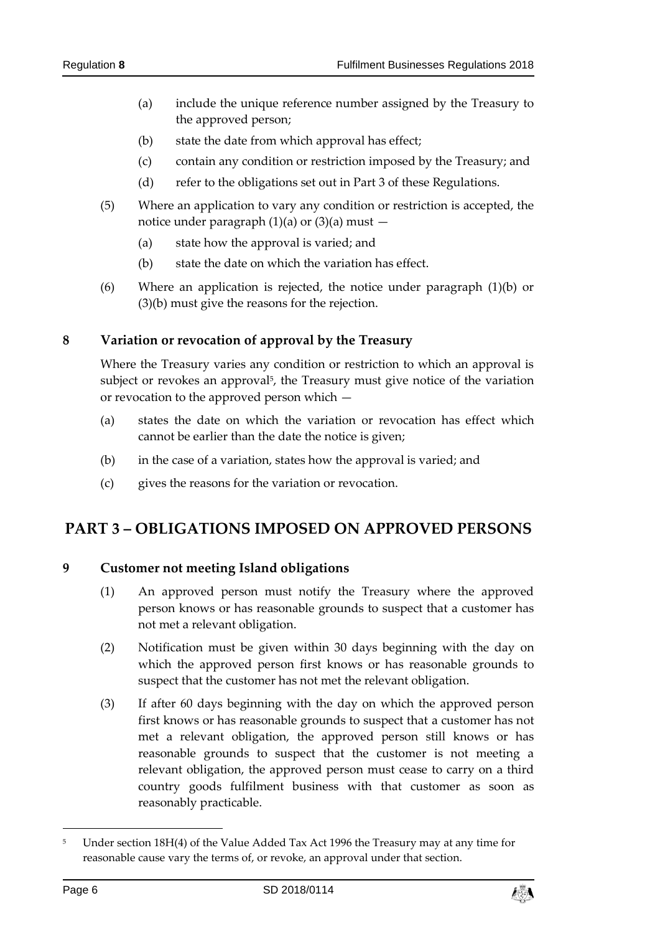- (a) include the unique reference number assigned by the Treasury to the approved person;
- (b) state the date from which approval has effect;
- (c) contain any condition or restriction imposed by the Treasury; and
- (d) refer to the obligations set out in Part 3 of these Regulations.
- (5) Where an application to vary any condition or restriction is accepted, the notice under paragraph  $(1)(a)$  or  $(3)(a)$  must  $-$ 
	- (a) state how the approval is varied; and
	- (b) state the date on which the variation has effect.
- (6) Where an application is rejected, the notice under paragraph (1)(b) or (3)(b) must give the reasons for the rejection.

#### <span id="page-5-0"></span>**8 Variation or revocation of approval by the Treasury**

Where the Treasury varies any condition or restriction to which an approval is subject or revokes an approval<sup>5</sup>, the Treasury must give notice of the variation or revocation to the approved person which —

- (a) states the date on which the variation or revocation has effect which cannot be earlier than the date the notice is given;
- (b) in the case of a variation, states how the approval is varied; and
- (c) gives the reasons for the variation or revocation.

## <span id="page-5-2"></span><span id="page-5-1"></span>**PART 3 – OBLIGATIONS IMPOSED ON APPROVED PERSONS**

#### **9 Customer not meeting Island obligations**

- (1) An approved person must notify the Treasury where the approved person knows or has reasonable grounds to suspect that a customer has not met a relevant obligation.
- (2) Notification must be given within 30 days beginning with the day on which the approved person first knows or has reasonable grounds to suspect that the customer has not met the relevant obligation.
- (3) If after 60 days beginning with the day on which the approved person first knows or has reasonable grounds to suspect that a customer has not met a relevant obligation, the approved person still knows or has reasonable grounds to suspect that the customer is not meeting a relevant obligation, the approved person must cease to carry on a third country goods fulfilment business with that customer as soon as reasonably practicable.



<sup>&</sup>lt;sup>5</sup> Under section 18H(4) of the Value Added Tax Act 1996 the Treasury may at any time for reasonable cause vary the terms of, or revoke, an approval under that section.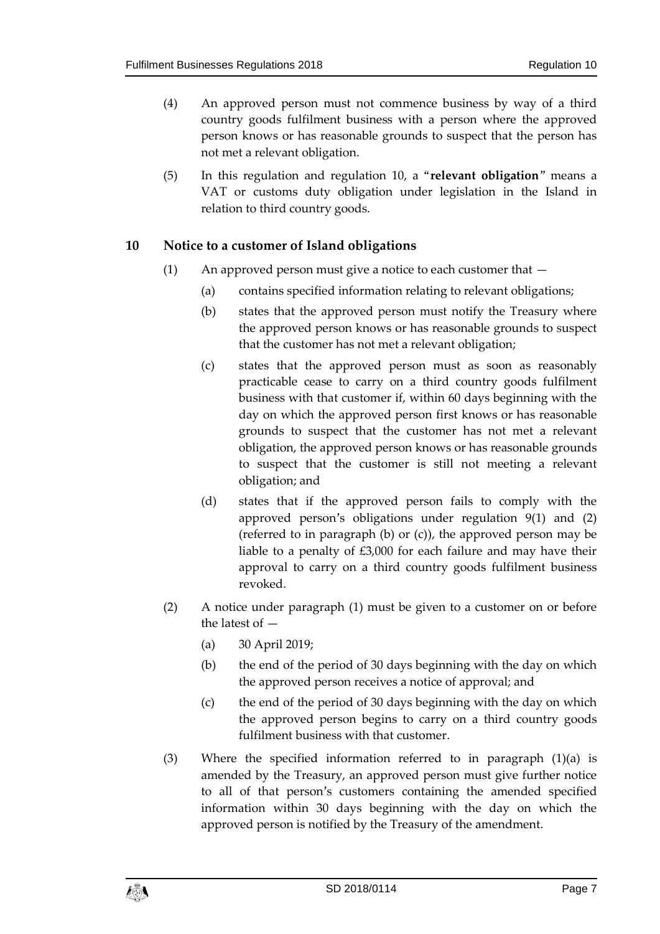- (4) An approved person must not commence business by way of a third country goods fulfilment business with a person where the approved person knows or has reasonable grounds to suspect that the person has not met a relevant obligation.
- (5) In this regulation and regulation 10, a "**relevant obligation**" means a VAT or customs duty obligation under legislation in the Island in relation to third country goods.

#### <span id="page-6-0"></span>**10 Notice to a customer of Island obligations**

- (1) An approved person must give a notice to each customer that  $-$ 
	- (a) contains specified information relating to relevant obligations;
	- (b) states that the approved person must notify the Treasury where the approved person knows or has reasonable grounds to suspect that the customer has not met a relevant obligation;
	- (c) states that the approved person must as soon as reasonably practicable cease to carry on a third country goods fulfilment business with that customer if, within 60 days beginning with the day on which the approved person first knows or has reasonable grounds to suspect that the customer has not met a relevant obligation, the approved person knows or has reasonable grounds to suspect that the customer is still not meeting a relevant obligation; and
	- (d) states that if the approved person fails to comply with the approved person's obligations under regulation 9(1) and (2) (referred to in paragraph (b) or (c)), the approved person may be liable to a penalty of £3,000 for each failure and may have their approval to carry on a third country goods fulfilment business revoked.
- (2) A notice under paragraph (1) must be given to a customer on or before the latest of —
	- (a) 30 April 2019;
	- (b) the end of the period of 30 days beginning with the day on which the approved person receives a notice of approval; and
	- (c) the end of the period of 30 days beginning with the day on which the approved person begins to carry on a third country goods fulfilment business with that customer.
- (3) Where the specified information referred to in paragraph (1)(a) is amended by the Treasury, an approved person must give further notice to all of that person's customers containing the amended specified information within 30 days beginning with the day on which the approved person is notified by the Treasury of the amendment.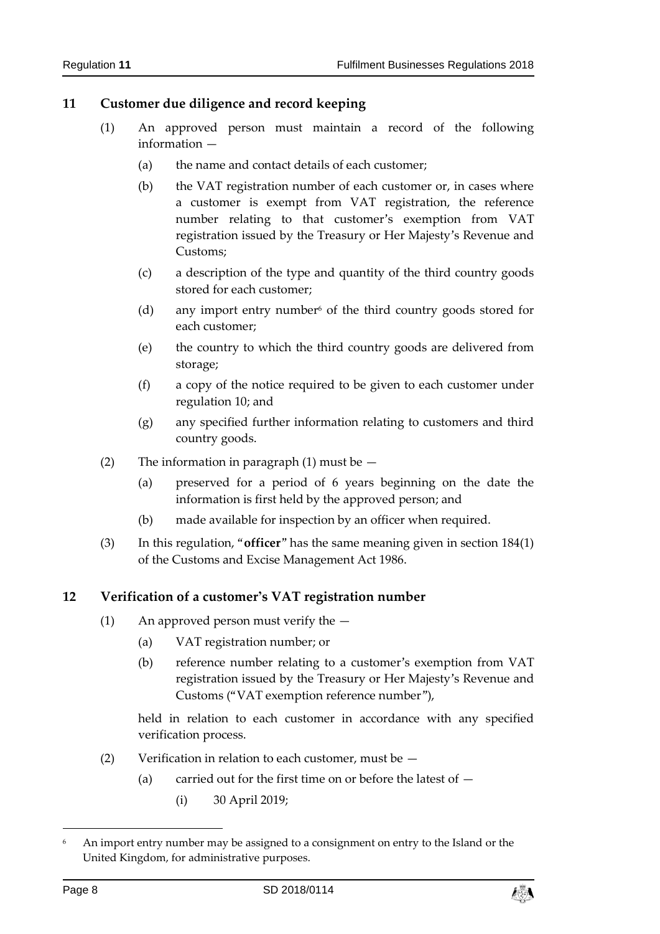#### <span id="page-7-0"></span>**11 Customer due diligence and record keeping**

- (1) An approved person must maintain a record of the following information —
	- (a) the name and contact details of each customer;
	- (b) the VAT registration number of each customer or, in cases where a customer is exempt from VAT registration, the reference number relating to that customer's exemption from VAT registration issued by the Treasury or Her Majesty's Revenue and Customs;
	- (c) a description of the type and quantity of the third country goods stored for each customer;
	- (d) any import entry number of the third country goods stored for each customer;
	- (e) the country to which the third country goods are delivered from storage;
	- (f) a copy of the notice required to be given to each customer under regulation 10; and
	- (g) any specified further information relating to customers and third country goods.
- (2) The information in paragraph  $(1)$  must be  $-$ 
	- (a) preserved for a period of 6 years beginning on the date the information is first held by the approved person; and
	- (b) made available for inspection by an officer when required.
- (3) In this regulation, "**officer**" has the same meaning given in section 184(1) of the Customs and Excise Management Act 1986.

#### <span id="page-7-1"></span>**12 Verification of a customer's VAT registration number**

- (1) An approved person must verify the
	- (a) VAT registration number; or
	- (b) reference number relating to a customer's exemption from VAT registration issued by the Treasury or Her Majesty's Revenue and Customs ("VAT exemption reference number"),

held in relation to each customer in accordance with any specified verification process.

- (2) Verification in relation to each customer, must be
	- (a) carried out for the first time on or before the latest of  $-$ 
		- (i) 30 April 2019;



<sup>6</sup> An import entry number may be assigned to a consignment on entry to the Island or the United Kingdom, for administrative purposes.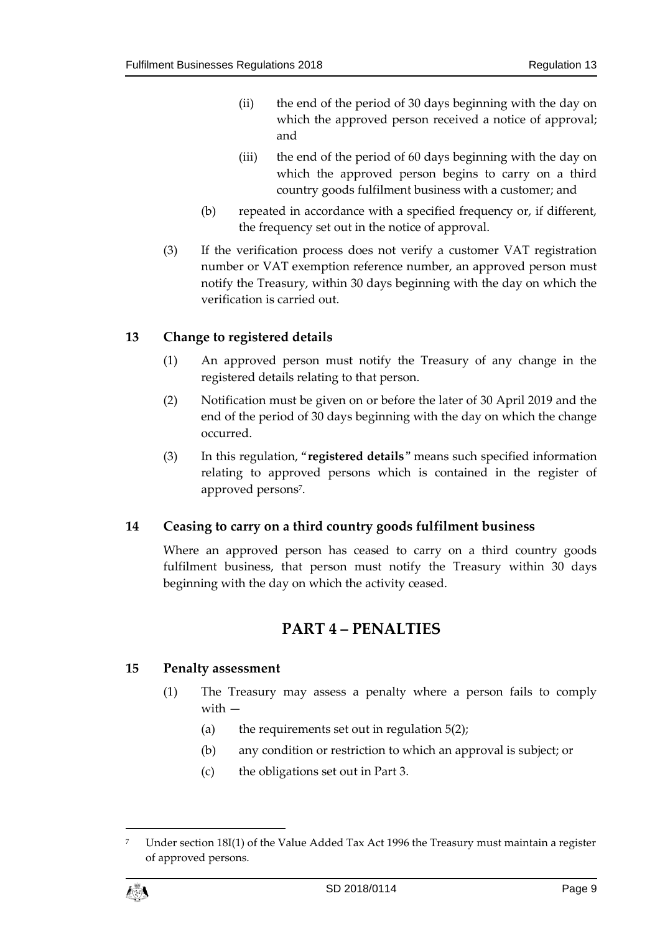- (ii) the end of the period of 30 days beginning with the day on which the approved person received a notice of approval; and
- (iii) the end of the period of 60 days beginning with the day on which the approved person begins to carry on a third country goods fulfilment business with a customer; and
- (b) repeated in accordance with a specified frequency or, if different, the frequency set out in the notice of approval.
- (3) If the verification process does not verify a customer VAT registration number or VAT exemption reference number, an approved person must notify the Treasury, within 30 days beginning with the day on which the verification is carried out.

#### <span id="page-8-0"></span>**13 Change to registered details**

- (1) An approved person must notify the Treasury of any change in the registered details relating to that person.
- (2) Notification must be given on or before the later of 30 April 2019 and the end of the period of 30 days beginning with the day on which the change occurred.
- (3) In this regulation, "**registered details**" means such specified information relating to approved persons which is contained in the register of approved persons<sup>7</sup> .

#### <span id="page-8-1"></span>**14 Ceasing to carry on a third country goods fulfilment business**

<span id="page-8-2"></span>Where an approved person has ceased to carry on a third country goods fulfilment business, that person must notify the Treasury within 30 days beginning with the day on which the activity ceased.

#### **PART 4 – PENALTIES**

#### <span id="page-8-3"></span>**15 Penalty assessment**

- (1) The Treasury may assess a penalty where a person fails to comply with —
	- (a) the requirements set out in regulation  $5(2)$ ;
	- (b) any condition or restriction to which an approval is subject; or
	- (c) the obligations set out in Part 3.

Under section 18I(1) of the Value Added Tax Act 1996 the Treasury must maintain a register of approved persons.



 $\overline{a}$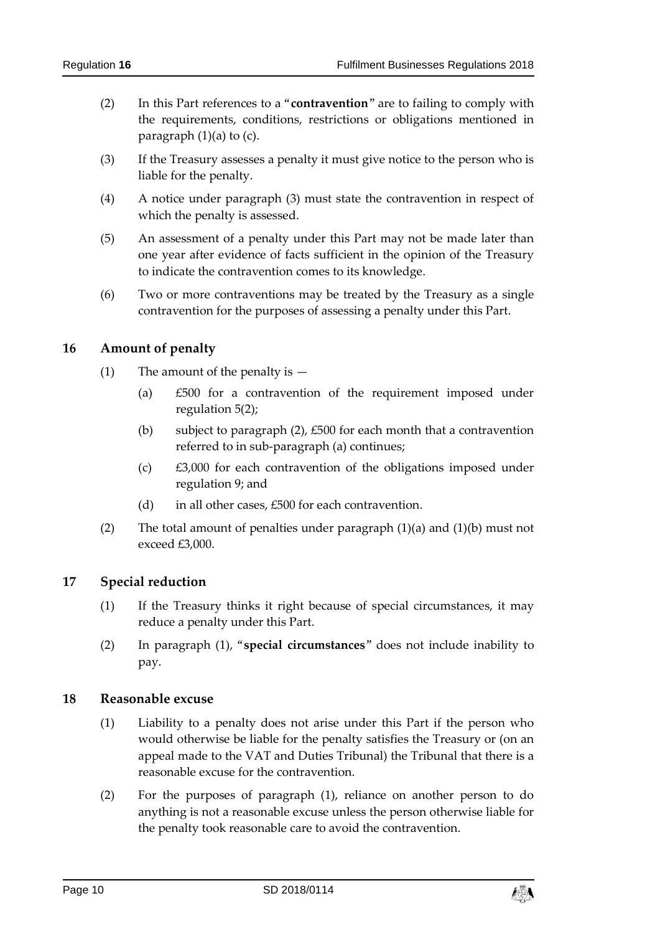- (2) In this Part references to a "**contravention**" are to failing to comply with the requirements, conditions, restrictions or obligations mentioned in paragraph  $(1)(a)$  to  $(c)$ .
- (3) If the Treasury assesses a penalty it must give notice to the person who is liable for the penalty.
- (4) A notice under paragraph (3) must state the contravention in respect of which the penalty is assessed.
- (5) An assessment of a penalty under this Part may not be made later than one year after evidence of facts sufficient in the opinion of the Treasury to indicate the contravention comes to its knowledge.
- (6) Two or more contraventions may be treated by the Treasury as a single contravention for the purposes of assessing a penalty under this Part.

#### <span id="page-9-0"></span>**16 Amount of penalty**

- (1) The amount of the penalty is  $-$ 
	- (a) £500 for a contravention of the requirement imposed under regulation 5(2);
	- (b) subject to paragraph (2), £500 for each month that a contravention referred to in sub-paragraph (a) continues;
	- (c) £3,000 for each contravention of the obligations imposed under regulation 9; and
	- (d) in all other cases, £500 for each contravention.
- (2) The total amount of penalties under paragraph (1)(a) and (1)(b) must not exceed £3,000.

#### <span id="page-9-1"></span>**17 Special reduction**

- (1) If the Treasury thinks it right because of special circumstances, it may reduce a penalty under this Part.
- (2) In paragraph (1), "**special circumstances**" does not include inability to pay.

#### <span id="page-9-2"></span>**18 Reasonable excuse**

- (1) Liability to a penalty does not arise under this Part if the person who would otherwise be liable for the penalty satisfies the Treasury or (on an appeal made to the VAT and Duties Tribunal) the Tribunal that there is a reasonable excuse for the contravention.
- (2) For the purposes of paragraph (1), reliance on another person to do anything is not a reasonable excuse unless the person otherwise liable for the penalty took reasonable care to avoid the contravention.

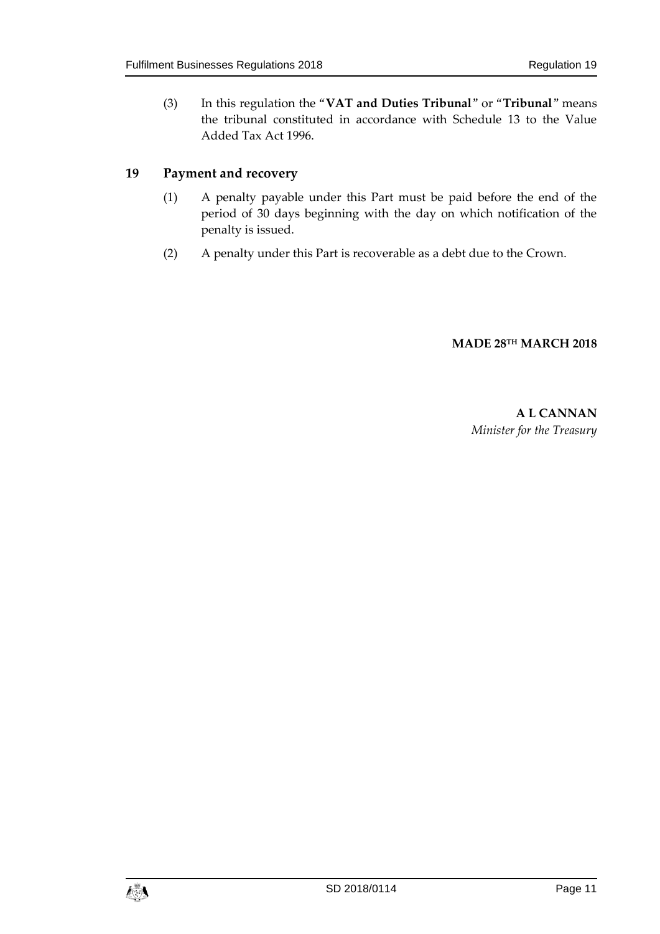(3) In this regulation the "**VAT and Duties Tribunal**" or "**Tribunal**" means the tribunal constituted in accordance with Schedule 13 to the Value Added Tax Act 1996.

#### <span id="page-10-0"></span>**19 Payment and recovery**

- (1) A penalty payable under this Part must be paid before the end of the period of 30 days beginning with the day on which notification of the penalty is issued.
- (2) A penalty under this Part is recoverable as a debt due to the Crown.

#### **MADE 28TH MARCH 2018**

**A L CANNAN** *Minister for the Treasury*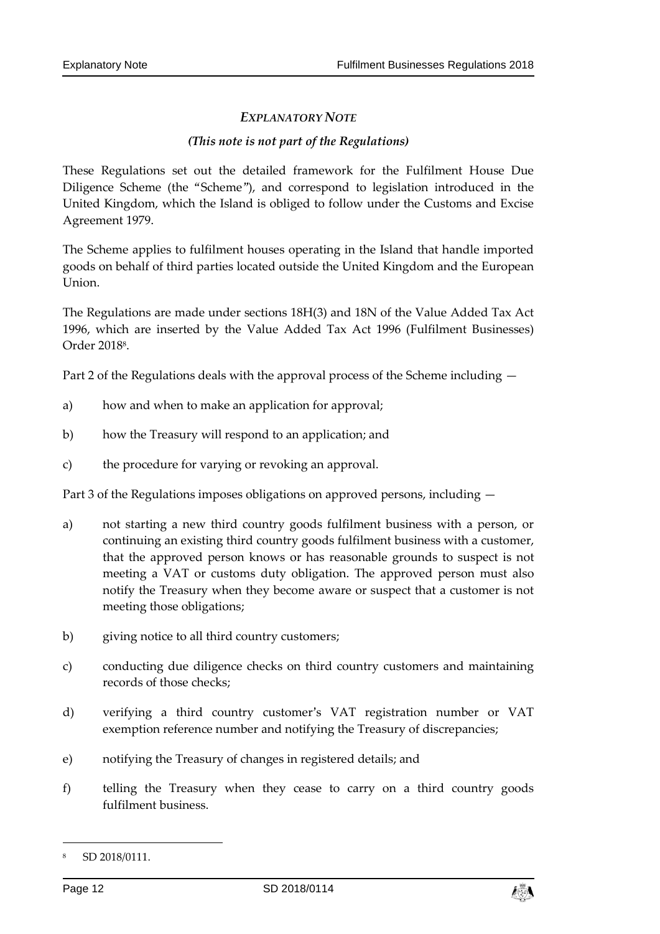#### *EXPLANATORY NOTE*

#### *(This note is not part of the Regulations)*

These Regulations set out the detailed framework for the Fulfilment House Due Diligence Scheme (the "Scheme"), and correspond to legislation introduced in the United Kingdom, which the Island is obliged to follow under the Customs and Excise Agreement 1979.

The Scheme applies to fulfilment houses operating in the Island that handle imported goods on behalf of third parties located outside the United Kingdom and the European Union.

The Regulations are made under sections 18H(3) and 18N of the Value Added Tax Act 1996, which are inserted by the Value Added Tax Act 1996 (Fulfilment Businesses) Order 2018<sup>8</sup> .

Part 2 of the Regulations deals with the approval process of the Scheme including —

- a) how and when to make an application for approval;
- b) how the Treasury will respond to an application; and
- c) the procedure for varying or revoking an approval.

Part 3 of the Regulations imposes obligations on approved persons, including —

- a) not starting a new third country goods fulfilment business with a person, or continuing an existing third country goods fulfilment business with a customer, that the approved person knows or has reasonable grounds to suspect is not meeting a VAT or customs duty obligation. The approved person must also notify the Treasury when they become aware or suspect that a customer is not meeting those obligations;
- b) giving notice to all third country customers;
- c) conducting due diligence checks on third country customers and maintaining records of those checks;
- d) verifying a third country customer's VAT registration number or VAT exemption reference number and notifying the Treasury of discrepancies;
- e) notifying the Treasury of changes in registered details; and
- f) telling the Treasury when they cease to carry on a third country goods fulfilment business.



SD 2018/0111.